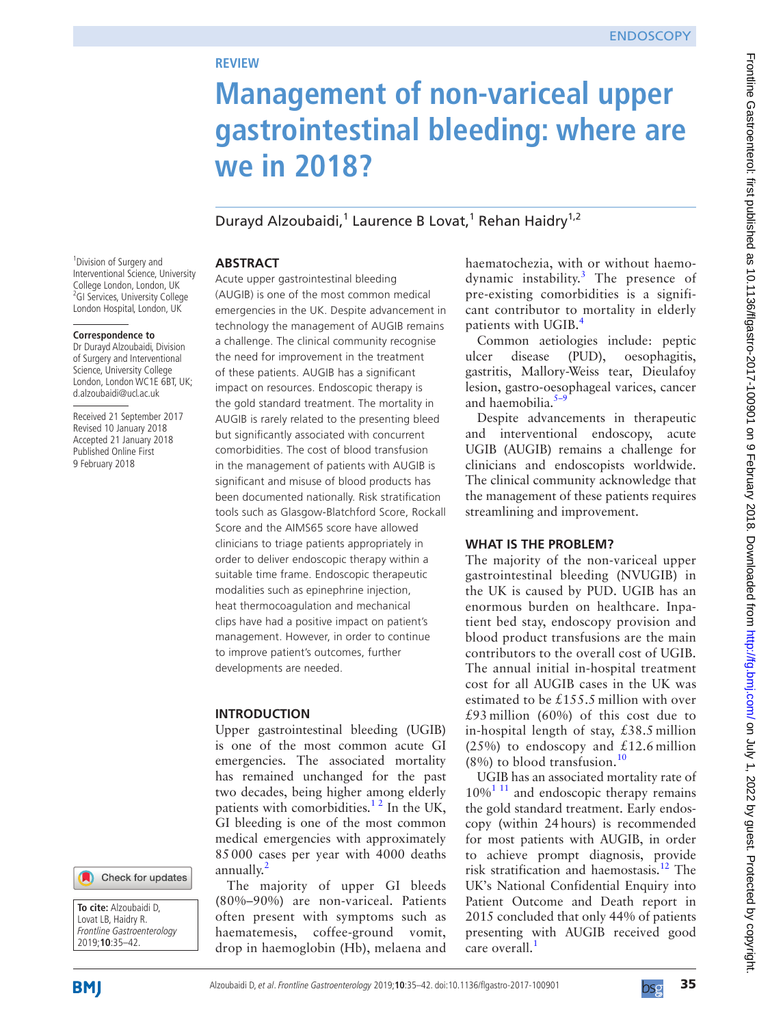# **Review**

# **Management of non-variceal upper gastrointestinal bleeding: where are we in 2018?**

# Durayd Alzoubaidi,<sup>1</sup> Laurence B Lovat,<sup>1</sup> Rehan Haidry<sup>1,2</sup>

#### **Abstract**

Acute upper gastrointestinal bleeding (AUGIB) is one of the most common medical emergencies in the UK. Despite advancement in technology the management of AUGIB remains a challenge. The clinical community recognise the need for improvement in the treatment of these patients. AUGIB has a significant impact on resources. Endoscopic therapy is the gold standard treatment. The mortality in AUGIB is rarely related to the presenting bleed but significantly associated with concurrent comorbidities. The cost of blood transfusion in the management of patients with AUGIB is significant and misuse of blood products has been documented nationally. Risk stratification tools such as Glasgow-Blatchford Score, Rockall Score and the AIMS65 score have allowed clinicians to triage patients appropriately in order to deliver endoscopic therapy within a suitable time frame. Endoscopic therapeutic modalities such as epinephrine injection, heat thermocoagulation and mechanical clips have had a positive impact on patient's management. However, in order to continue to improve patient's outcomes, further developments are needed.

#### **Introduction**

Upper gastrointestinal bleeding (UGIB) is one of the most common acute GI emergencies. The associated mortality has remained unchanged for the past two decades, being higher among elderly patients with comorbidities. $12$  In the UK, GI bleeding is one of the most common medical emergencies with approximately 85000 cases per year with 4000 deaths annually.<sup>[2](#page-5-1)</sup>

The majority of upper GI bleeds (80%–90%) are non-variceal. Patients often present with symptoms such as haematemesis, coffee-ground vomit, drop in haemoglobin (Hb), melaena and haematochezia, with or without haemo-dynamic instability.<sup>[3](#page-5-2)</sup> The presence of pre-existing comorbidities is a significant contributor to mortality in elderly patients with UGIB.[4](#page-5-3)

Common aetiologies include: peptic ulcer disease (PUD), oesophagitis, gastritis, Mallory-Weiss tear, Dieulafoy lesion, gastro-oesophageal varices, cancer and haemobilia. $5-9$ 

Despite advancements in therapeutic and interventional endoscopy, acute UGIB (AUGIB) remains a challenge for clinicians and endoscopists worldwide. The clinical community acknowledge that the management of these patients requires streamlining and improvement.

Frontline Gastroenterol: first published as 10.11136/flgastro-2017-100901 on 9 February 2018. Downloaded from http://fg.bmj.com/ on July 1, 2022 by guest. Protected by copyright Frontline Gastroenterol: first published as 10.1136/flgastro-2017-100901 on 9 February 2018. Downloaded from http://tg.bmj.com/ on July 1, 2022 by guest. Protected by copyright.

## **What is the problem?**

The majority of the non-variceal upper gastrointestinal bleeding (NVUGIB) in the UK is caused by PUD. UGIB has an enormous burden on healthcare. Inpatient bed stay, endoscopy provision and blood product transfusions are the main contributors to the overall cost of UGIB. The annual initial in-hospital treatment cost for all AUGIB cases in the UK was estimated to be £155.5 million with over £93 million (60%) of this cost due to in-hospital length of stay, £38.5 million (25%) to endoscopy and  $£12.6$  million  $(8\%)$  to blood transfusion.<sup>[10](#page-5-5)</sup>

UGIB has an associated mortality rate of  $10\%$ <sup>111</sup> and endoscopic therapy remains the gold standard treatment. Early endoscopy (within 24hours) is recommended for most patients with AUGIB, in order to achieve prompt diagnosis, provide risk stratification and haemostasis.<sup>[12](#page-5-6)</sup> The UK's National Confidential Enquiry into Patient Outcome and Death report in 2015 concluded that only 44% of patients presenting with AUGIB received good care overall.<sup>[1](#page-5-0)</sup>

<sup>1</sup> Division of Surgery and Interventional Science, University College London, London, UK <sup>2</sup>GI Services, University College London Hospital, London, UK

#### **Correspondence to**

Dr Durayd Alzoubaidi, Division of Surgery and Interventional Science, University College London, London WC1E 6BT, UK; d.alzoubaidi@ucl.ac.uk

Received 21 September 2017 Revised 10 January 2018 Accepted 21 January 2018 Published Online First 9 February 2018





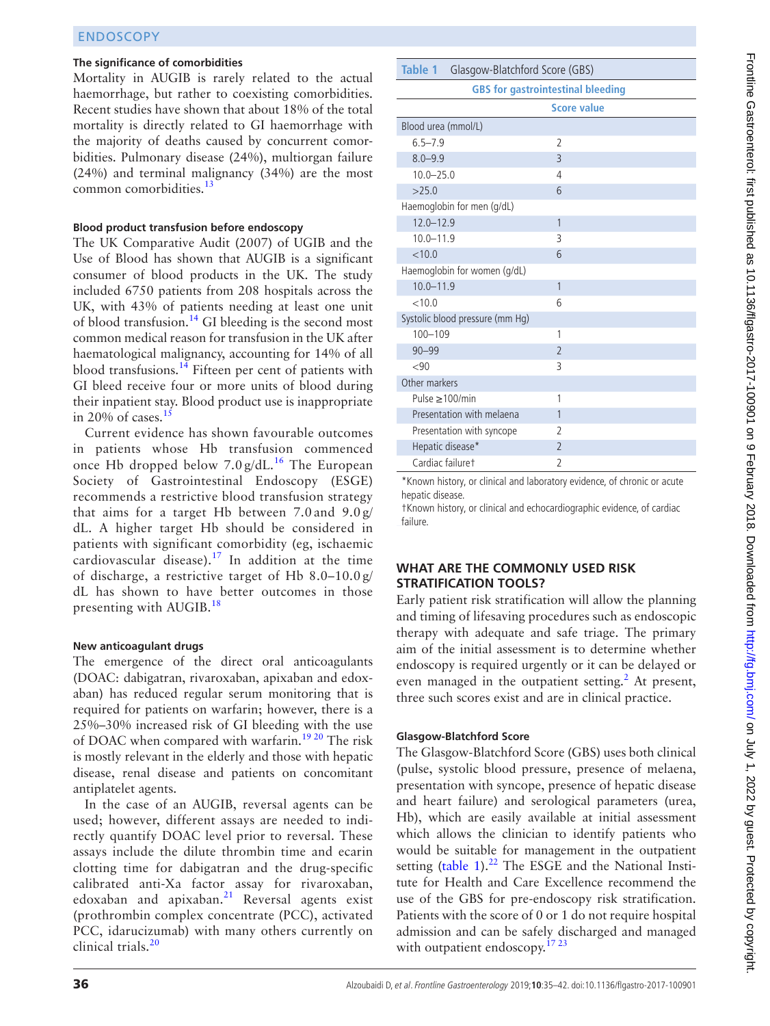# **ENDOSCOPY**

#### **The significance of comorbidities**

Mortality in AUGIB is rarely related to the actual haemorrhage, but rather to coexisting comorbidities. Recent studies have shown that about 18% of the total mortality is directly related to GI haemorrhage with the majority of deaths caused by concurrent comorbidities. Pulmonary disease (24%), multiorgan failure (24%) and terminal malignancy (34%) are the most common comorbidities.<sup>[13](#page-5-7)</sup>

#### **Blood product transfusion before endoscopy**

The UK Comparative Audit (2007) of UGIB and the Use of Blood has shown that AUGIB is a significant consumer of blood products in the UK. The study included 6750 patients from 208 hospitals across the UK, with 43% of patients needing at least one unit of blood transfusion.<sup>14</sup> GI bleeding is the second most common medical reason for transfusion in the UK after haematological malignancy, accounting for 14% of all blood transfusions.[14](#page-6-0) Fifteen per cent of patients with GI bleed receive four or more units of blood during their inpatient stay. Blood product use is inappropriate in 20% of cases. $15$ 

Current evidence has shown favourable outcomes in patients whose Hb transfusion commenced once Hb dropped below  $7.0 \text{ g/dL}$ .<sup>16</sup> The European Society of Gastrointestinal Endoscopy (ESGE) recommends a restrictive blood transfusion strategy that aims for a target Hb between 7.0 and  $9.0 g$ / dL. A higher target Hb should be considered in patients with significant comorbidity (eg, ischaemic cardiovascular disease).<sup>17</sup> In addition at the time of discharge, a restrictive target of Hb 8.0–10.0 g/ dL has shown to have better outcomes in those presenting with AUGIB.<sup>[18](#page-6-4)</sup>

#### **New anticoagulant drugs**

The emergence of the direct oral anticoagulants (DOAC: dabigatran, rivaroxaban, apixaban and edoxaban) has reduced regular serum monitoring that is required for patients on warfarin; however, there is a 25%–30% increased risk of GI bleeding with the use of DOAC when compared with warfarin.<sup>[19 20](#page-6-5)</sup> The risk is mostly relevant in the elderly and those with hepatic disease, renal disease and patients on concomitant antiplatelet agents.

In the case of an AUGIB, reversal agents can be used; however, different assays are needed to indirectly quantify DOAC level prior to reversal. These assays include the dilute thrombin time and ecarin clotting time for dabigatran and the drug-specific calibrated anti-Xa factor assay for rivaroxaban, edoxaban and apixaban. $21$  Reversal agents exist (prothrombin complex concentrate (PCC), activated PCC, idarucizumab) with many others currently on clinical trials.<sup>[20](#page-6-7)</sup>

<span id="page-1-0"></span>

| <b>Table 1</b><br>Glasgow-Blatchford Score (GBS) |                    |  |  |  |
|--------------------------------------------------|--------------------|--|--|--|
| <b>GBS for gastrointestinal bleeding</b>         |                    |  |  |  |
|                                                  | <b>Score value</b> |  |  |  |
| Blood urea (mmol/L)                              |                    |  |  |  |
| $6.5 - 7.9$                                      | $\mathfrak{D}$     |  |  |  |
| $8.0 - 9.9$                                      | $\overline{3}$     |  |  |  |
| $10.0 - 25.0$                                    | 4                  |  |  |  |
| >25.0                                            | 6                  |  |  |  |
| Haemoglobin for men (g/dL)                       |                    |  |  |  |
| $12.0 - 12.9$                                    | 1                  |  |  |  |
| $10.0 - 11.9$                                    | 3                  |  |  |  |
| < 10.0                                           | 6                  |  |  |  |
| Haemoglobin for women (g/dL)                     |                    |  |  |  |
| $10.0 - 11.9$                                    | 1                  |  |  |  |
| < 10.0                                           | 6                  |  |  |  |
| Systolic blood pressure (mm Hg)                  |                    |  |  |  |
| $100 - 109$                                      | 1                  |  |  |  |
| $90 - 99$                                        | $\overline{2}$     |  |  |  |
| < 90                                             | 3                  |  |  |  |
| Other markers                                    |                    |  |  |  |
| Pulse >100/min                                   | 1                  |  |  |  |
| Presentation with melaena                        | 1                  |  |  |  |
| Presentation with syncope                        | $\mathfrak{D}$     |  |  |  |
| Hepatic disease*                                 | $\overline{2}$     |  |  |  |
| Cardiac failuret                                 | $\overline{2}$     |  |  |  |

\*Known history, or clinical and laboratory evidence, of chronic or acute hepatic disease.

†Known history, or clinical and echocardiographic evidence, of cardiac failure.

## **What are the commonly used risk stratification tools?**

Early patient risk stratification will allow the planning and timing of lifesaving procedures such as endoscopic therapy with adequate and safe triage. The primary aim of the initial assessment is to determine whether endoscopy is required urgently or it can be delayed or even managed in the outpatient setting.<sup>[2](#page-5-1)</sup> At present, three such scores exist and are in clinical practice.

#### **Glasgow-Blatchford Score**

The Glasgow-Blatchford Score (GBS) uses both clinical (pulse, systolic blood pressure, presence of melaena, presentation with syncope, presence of hepatic disease and heart failure) and serological parameters (urea, Hb), which are easily available at initial assessment which allows the clinician to identify patients who would be suitable for management in the outpatient setting ([table](#page-1-0)  $1$ ).<sup>[22](#page-6-8)</sup> The ESGE and the National Institute for Health and Care Excellence recommend the use of the GBS for pre-endoscopy risk stratification. Patients with the score of 0 or 1 do not require hospital admission and can be safely discharged and managed with outpatient endoscopy.<sup>[17 23](#page-6-3)</sup>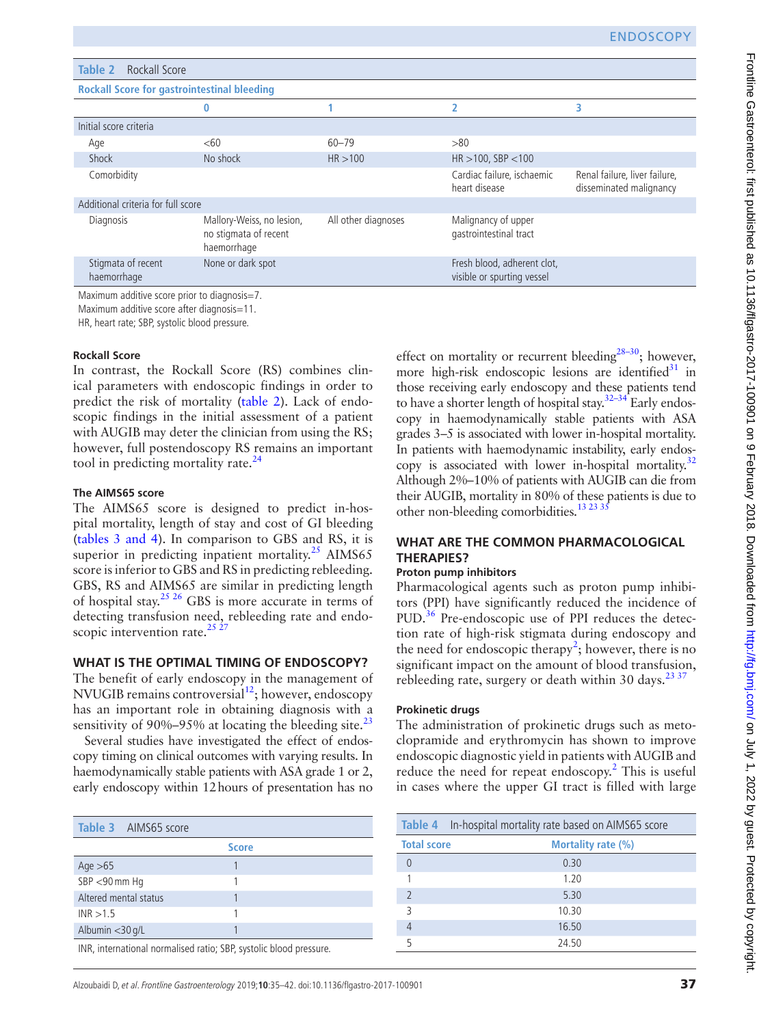<span id="page-2-0"></span>

| Rockall Score<br>Table 2                                                                  |                                                                   |                     |                                                           |                                                          |  |  |
|-------------------------------------------------------------------------------------------|-------------------------------------------------------------------|---------------------|-----------------------------------------------------------|----------------------------------------------------------|--|--|
| <b>Rockall Score for gastrointestinal bleeding</b>                                        |                                                                   |                     |                                                           |                                                          |  |  |
|                                                                                           | 0                                                                 |                     | 2                                                         | 3                                                        |  |  |
| Initial score criteria                                                                    |                                                                   |                     |                                                           |                                                          |  |  |
| Age                                                                                       | <60                                                               | $60 - 79$           | > 80                                                      |                                                          |  |  |
| Shock                                                                                     | No shock                                                          | HR > 100            | $HR > 100$ , SBP < 100                                    |                                                          |  |  |
| Comorbidity                                                                               |                                                                   |                     | Cardiac failure, ischaemic<br>heart disease               | Renal failure, liver failure,<br>disseminated malignancy |  |  |
| Additional criteria for full score                                                        |                                                                   |                     |                                                           |                                                          |  |  |
| Diagnosis                                                                                 | Mallory-Weiss, no lesion,<br>no stigmata of recent<br>haemorrhage | All other diagnoses | Malignancy of upper<br>gastrointestinal tract             |                                                          |  |  |
| Stigmata of recent<br>haemorrhage                                                         | None or dark spot                                                 |                     | Fresh blood, adherent clot,<br>visible or spurting vessel |                                                          |  |  |
| Maximum additive score prior to diagnosis=7.<br>Movimum additive score after diagnosis 11 |                                                                   |                     |                                                           |                                                          |  |  |

Maximum additive score after diagnosis=11.

HR, heart rate; SBP, systolic blood pressure.

#### **Rockall Score**

In contrast, the Rockall Score (RS) combines clinical parameters with endoscopic findings in order to predict the risk of mortality ([table](#page-2-0) 2). Lack of endoscopic findings in the initial assessment of a patient with AUGIB may deter the clinician from using the RS; however, full postendoscopy RS remains an important tool in predicting mortality rate.<sup>24</sup>

#### **The AIMS65 score**

The AIMS65 score is designed to predict in-hospital mortality, length of stay and cost of GI bleeding (tables [3 and 4](#page-2-1)). In comparison to GBS and RS, it is superior in predicting inpatient mortality.<sup>[25](#page-6-10)</sup> AIMS65 score is inferior to GBS and RS in predicting rebleeding. GBS, RS and AIMS65 are similar in predicting length of hospital stay.<sup>[25 26](#page-6-10)</sup> GBS is more accurate in terms of detecting transfusion need, rebleeding rate and endoscopic intervention rate.<sup>25</sup><sup>2</sup>

#### **What is the optimal timing of endoscopy?**

The benefit of early endoscopy in the management of NVUGIB remains controversial<sup>12</sup>; however, endoscopy has an important role in obtaining diagnosis with a sensitivity of 90%–95% at locating the bleeding site.<sup>23</sup>

Several studies have investigated the effect of endoscopy timing on clinical outcomes with varying results. In haemodynamically stable patients with ASA grade 1 or 2, early endoscopy within 12hours of presentation has no

<span id="page-2-1"></span>

| <b>Table 3</b> AIMS65 score                                        |              |  |  |  |
|--------------------------------------------------------------------|--------------|--|--|--|
|                                                                    | <b>Score</b> |  |  |  |
| Age $>65$                                                          |              |  |  |  |
| SBP <90 mm Hq                                                      | 1            |  |  |  |
| Altered mental status                                              |              |  |  |  |
| INR > 1.5                                                          |              |  |  |  |
| Albumin $<$ 30 g/L                                                 |              |  |  |  |
| INR, international normalised ratio; SBP, systolic blood pressure. |              |  |  |  |

effect on mortality or recurrent bleeding<sup>28–30</sup>; however, more high-risk endoscopic lesions are identified $31$  in those receiving early endoscopy and these patients tend to have a shorter length of hospital stay.  $32-34$  Early endoscopy in haemodynamically stable patients with ASA grades 3–5 is associated with lower in-hospital mortality. In patients with haemodynamic instability, early endos-copy is associated with lower in-hospital mortality.<sup>[32](#page-6-14)</sup> Although 2%–10% of patients with AUGIB can die from their AUGIB, mortality in 80% of these patients is due to other non-bleeding comorbidities.<sup>[13 23 35](#page-5-7)</sup>

## **What are the common pharmacological therapies?**

#### **Proton pump inhibitors**

Pharmacological agents such as proton pump inhibitors (PPI) have significantly reduced the incidence of PUD.[36](#page-6-15) Pre-endoscopic use of PPI reduces the detection rate of high-risk stigmata during endoscopy and the need for endoscopic therapy<sup>[2](#page-5-1)</sup>; however, there is no significant impact on the amount of blood transfusion, rebleeding rate, surgery or death within 30 days.  $2337$ 

#### **Prokinetic drugs**

The administration of prokinetic drugs such as metoclopramide and erythromycin has shown to improve endoscopic diagnostic yield in patients with AUGIB and reduce the need for repeat endoscopy.<sup>[2](#page-5-1)</sup> This is useful in cases where the upper GI tract is filled with large

|                          | Table 4 In-hospital mortality rate based on AIMS65 score |  |  |
|--------------------------|----------------------------------------------------------|--|--|
| <b>Total score</b>       | Mortality rate (%)                                       |  |  |
| $\Omega$                 | 0.30                                                     |  |  |
| 1                        | 1.20                                                     |  |  |
| $\overline{\phantom{0}}$ | 5.30                                                     |  |  |
| 3                        | 10.30                                                    |  |  |
|                          | 16.50                                                    |  |  |
|                          | 24.50                                                    |  |  |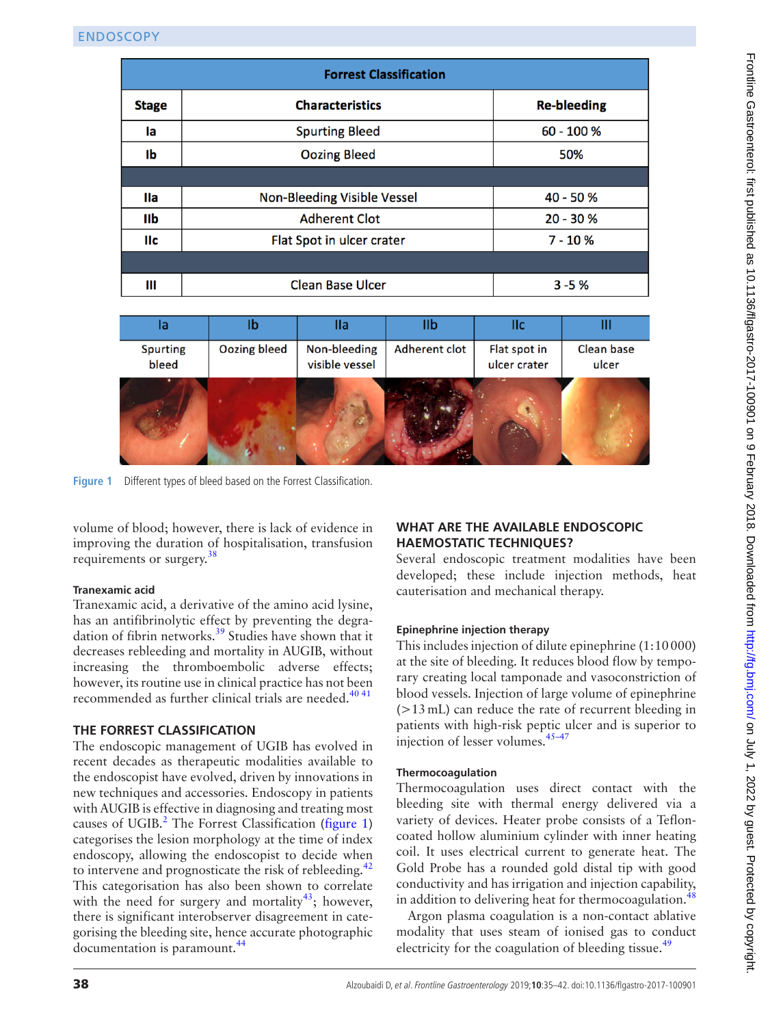| <b>Forrest Classification</b> |                             |                    |  |  |
|-------------------------------|-----------------------------|--------------------|--|--|
| Stage                         | <b>Characteristics</b>      | <b>Re-bleeding</b> |  |  |
| la                            | <b>Spurting Bleed</b>       | 60 - 100 %         |  |  |
| Ib                            | <b>Oozing Bleed</b>         | 50%                |  |  |
|                               |                             |                    |  |  |
| <b>Ila</b>                    | Non-Bleeding Visible Vessel | 40 - 50 %          |  |  |
| IIb                           | <b>Adherent Clot</b>        | 20 - 30 %          |  |  |
| llc                           | Flat Spot in ulcer crater   | $7 - 10%$          |  |  |
|                               |                             |                    |  |  |
| Ш                             | <b>Clean Base Ulcer</b>     | $3 - 5%$           |  |  |



**Figure 1** Different types of bleed based on the Forrest Classification.

<span id="page-3-0"></span>volume of blood; however, there is lack of evidence in improving the duration of hospitalisation, transfusion requirements or surgery.<sup>[38](#page-6-16)</sup>

## **Tranexamic acid**

Tranexamic acid, a derivative of the amino acid lysine, has an antifibrinolytic effect by preventing the degradation of fibrin networks.[39](#page-6-17) Studies have shown that it decreases rebleeding and mortality in AUGIB, without increasing the thromboembolic adverse effects; however, its routine use in clinical practice has not been recommended as further clinical trials are needed.<sup>40 41</sup>

## **The Forrest Classification**

The endoscopic management of UGIB has evolved in recent decades as therapeutic modalities available to the endoscopist have evolved, driven by innovations in new techniques and accessories. Endoscopy in patients with AUGIB is effective in diagnosing and treating most causes of UGIB.<sup>2</sup> The Forrest Classification [\(figure](#page-3-0) 1) categorises the lesion morphology at the time of index endoscopy, allowing the endoscopist to decide when to intervene and prognosticate the risk of rebleeding. $42$ This categorisation has also been shown to correlate with the need for surgery and mortality<sup>[43](#page-6-20)</sup>; however, there is significant interobserver disagreement in categorising the bleeding site, hence accurate photographic documentation is paramount.<sup>[44](#page-6-21)</sup>

# **What are the available endoscopic haemostatic techniques?**

Several endoscopic treatment modalities have been developed; these include injection methods, heat cauterisation and mechanical therapy.

## **Epinephrine injection therapy**

This includes injection of dilute epinephrine (1:10000) at the site of bleeding. It reduces blood flow by temporary creating local tamponade and vasoconstriction of blood vessels. Injection of large volume of epinephrine (>13mL) can reduce the rate of recurrent bleeding in patients with high-risk peptic ulcer and is superior to injection of lesser volumes. $45-47$ 

## **Thermocoagulation**

Thermocoagulation uses direct contact with the bleeding site with thermal energy delivered via a variety of devices. Heater probe consists of a Tefloncoated hollow aluminium cylinder with inner heating coil. It uses electrical current to generate heat. The Gold Probe has a rounded gold distal tip with good conductivity and has irrigation and injection capability, in addition to delivering heat for thermocoagulation.<sup>[48](#page-6-23)</sup>

Argon plasma coagulation is a non-contact ablative modality that uses steam of ionised gas to conduct electricity for the coagulation of bleeding tissue.<sup>[49](#page-6-24)</sup>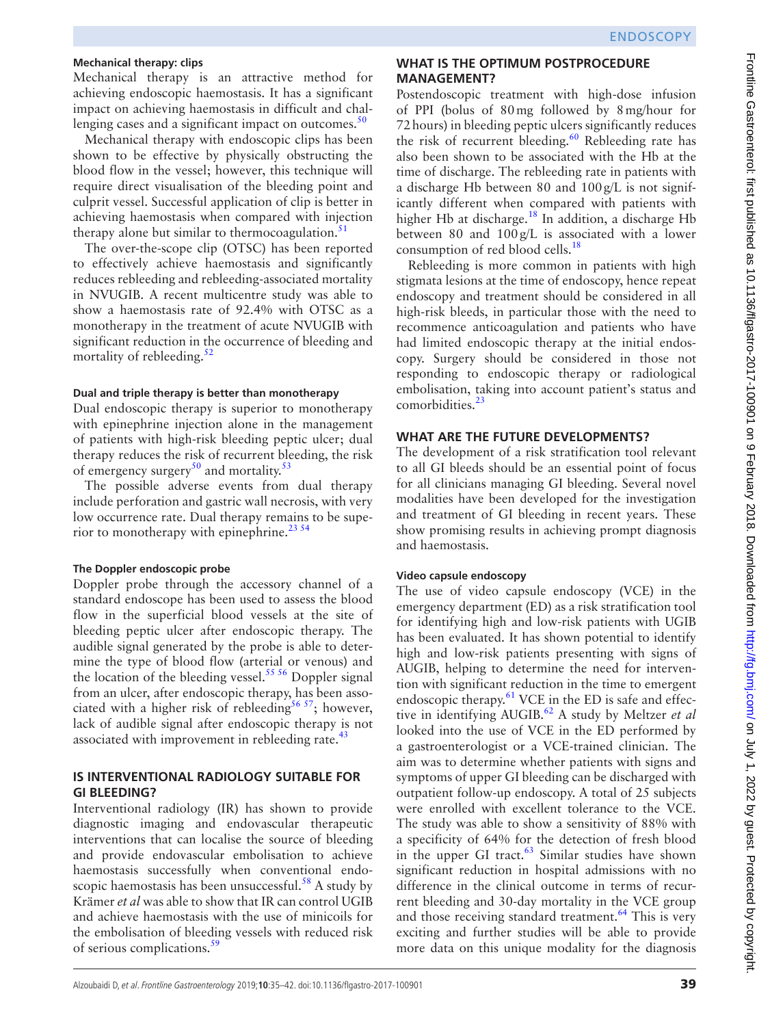#### **Mechanical therapy: clips**

Mechanical therapy is an attractive method for achieving endoscopic haemostasis. It has a significant impact on achieving haemostasis in difficult and challenging cases and a significant impact on outcomes. $50$ 

Mechanical therapy with endoscopic clips has been shown to be effective by physically obstructing the blood flow in the vessel; however, this technique will require direct visualisation of the bleeding point and culprit vessel. Successful application of clip is better in achieving haemostasis when compared with injection therapy alone but similar to thermocoagulation. $51$ 

The over-the-scope clip (OTSC) has been reported to effectively achieve haemostasis and significantly reduces rebleeding and rebleeding-associated mortality in NVUGIB. A recent multicentre study was able to show a haemostasis rate of 92.4% with OTSC as a monotherapy in the treatment of acute NVUGIB with significant reduction in the occurrence of bleeding and mortality of rebleeding.<sup>[52](#page-6-27)</sup>

#### **Dual and triple therapy is better than monotherapy**

Dual endoscopic therapy is superior to monotherapy with epinephrine injection alone in the management of patients with high-risk bleeding peptic ulcer; dual therapy reduces the risk of recurrent bleeding, the risk of emergency surgery<sup>50</sup> and mortality.<sup>53</sup>

The possible adverse events from dual therapy include perforation and gastric wall necrosis, with very low occurrence rate. Dual therapy remains to be supe-rior to monotherapy with epinephrine.<sup>[23 54](#page-6-11)</sup>

## **The Doppler endoscopic probe**

Doppler probe through the accessory channel of a standard endoscope has been used to assess the blood flow in the superficial blood vessels at the site of bleeding peptic ulcer after endoscopic therapy. The audible signal generated by the probe is able to determine the type of blood flow (arterial or venous) and the location of the bleeding vessel.<sup>[55 56](#page-7-0)</sup> Doppler signal from an ulcer, after endoscopic therapy, has been associated with a higher risk of rebleeding<sup>56 57</sup>; however, lack of audible signal after endoscopic therapy is not associated with improvement in rebleeding rate.<sup>43</sup>

#### **Is interventional radiology suitable for GI bleeding?**

Interventional radiology (IR) has shown to provide diagnostic imaging and endovascular therapeutic interventions that can localise the source of bleeding and provide endovascular embolisation to achieve haemostasis successfully when conventional endoscopic haemostasis has been unsuccessful. $58$  A study by Krämer *et al* was able to show that IR can control UGIB and achieve haemostasis with the use of minicoils for the embolisation of bleeding vessels with reduced risk of serious complications.<sup>[59](#page-7-3)</sup>

#### **What is the optimum postprocedure management?**

Postendoscopic treatment with high-dose infusion of PPI (bolus of 80mg followed by 8mg/hour for 72hours) in bleeding peptic ulcers significantly reduces the risk of recurrent bleeding.<sup>60</sup> Rebleeding rate has also been shown to be associated with the Hb at the time of discharge. The rebleeding rate in patients with a discharge Hb between 80 and 100g/L is not significantly different when compared with patients with higher Hb at discharge.<sup>[18](#page-6-4)</sup> In addition, a discharge Hb between 80 and 100g/L is associated with a lower consumption of red blood cells[.18](#page-6-4)

Rebleeding is more common in patients with high stigmata lesions at the time of endoscopy, hence repeat endoscopy and treatment should be considered in all high-risk bleeds, in particular those with the need to recommence anticoagulation and patients who have had limited endoscopic therapy at the initial endoscopy. Surgery should be considered in those not responding to endoscopic therapy or radiological embolisation, taking into account patient's status and comorbidities.<sup>[23](#page-6-11)</sup>

# **What are the future developments?**

The development of a risk stratification tool relevant to all GI bleeds should be an essential point of focus for all clinicians managing GI bleeding. Several novel modalities have been developed for the investigation and treatment of GI bleeding in recent years. These show promising results in achieving prompt diagnosis and haemostasis.

## **Video capsule endoscopy**

The use of video capsule endoscopy (VCE) in the emergency department (ED) as a risk stratification tool for identifying high and low-risk patients with UGIB has been evaluated. It has shown potential to identify high and low-risk patients presenting with signs of AUGIB, helping to determine the need for intervention with significant reduction in the time to emergent endoscopic therapy. $61$  VCE in the ED is safe and effective in identifying AUGIB[.62](#page-7-6) A study by Meltzer *et al* looked into the use of VCE in the ED performed by a gastroenterologist or a VCE-trained clinician. The aim was to determine whether patients with signs and symptoms of upper GI bleeding can be discharged with outpatient follow-up endoscopy. A total of 25 subjects were enrolled with excellent tolerance to the VCE. The study was able to show a sensitivity of 88% with a specificity of 64% for the detection of fresh blood in the upper GI tract. $63$  Similar studies have shown significant reduction in hospital admissions with no difference in the clinical outcome in terms of recurrent bleeding and 30-day mortality in the VCE group and those receiving standard treatment.<sup>64</sup> This is very exciting and further studies will be able to provide more data on this unique modality for the diagnosis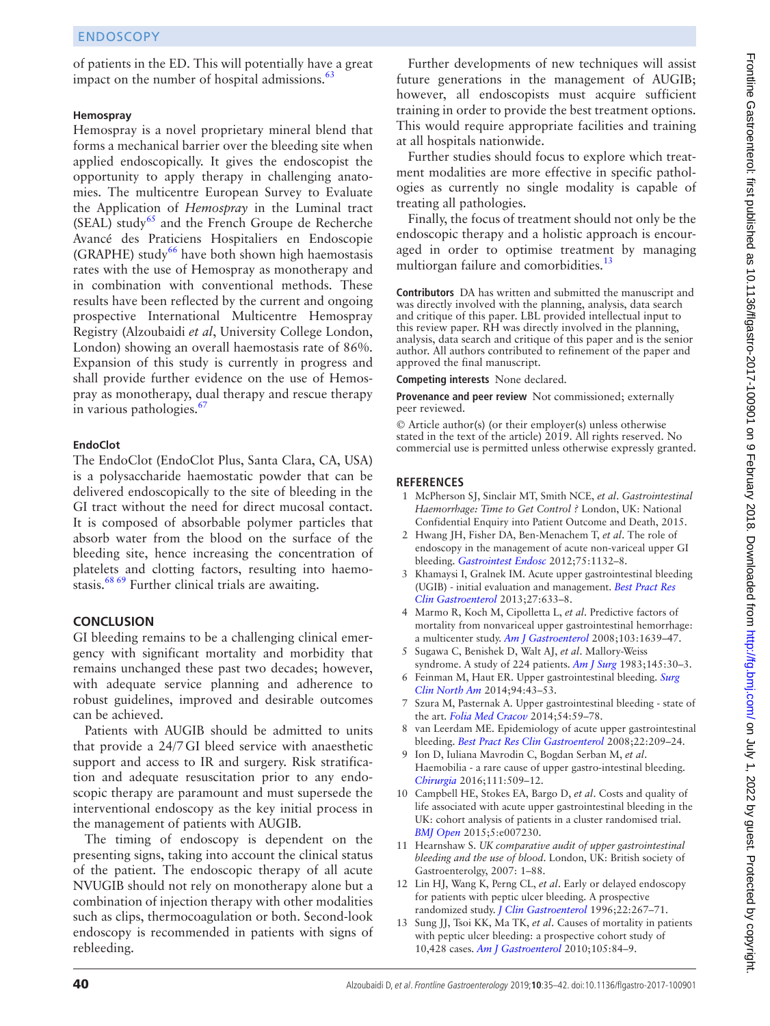of patients in the ED. This will potentially have a great impact on the number of hospital admissions. $63$ 

#### **Hemospray**

Hemospray is a novel proprietary mineral blend that forms a mechanical barrier over the bleeding site when applied endoscopically. It gives the endoscopist the opportunity to apply therapy in challenging anatomies. The multicentre European Survey to Evaluate the Application of *Hemospray* in the Luminal tract (SEAL) study<sup>65</sup> and the French Groupe de Recherche Avancé des Praticiens Hospitaliers en Endoscopie (GRAPHE) study<sup>[66](#page-7-10)</sup> have both shown high haemostasis rates with the use of Hemospray as monotherapy and in combination with conventional methods. These results have been reflected by the current and ongoing prospective International Multicentre Hemospray Registry (Alzoubaidi *et al*, University College London, London) showing an overall haemostasis rate of 86%. Expansion of this study is currently in progress and shall provide further evidence on the use of Hemospray as monotherapy, dual therapy and rescue therapy in various pathologies.<sup>[67](#page-7-11)</sup>

## **EndoClot**

The EndoClot (EndoClot Plus, Santa Clara, CA, USA) is a polysaccharide haemostatic powder that can be delivered endoscopically to the site of bleeding in the GI tract without the need for direct mucosal contact. It is composed of absorbable polymer particles that absorb water from the blood on the surface of the bleeding site, hence increasing the concentration of platelets and clotting factors, resulting into haemostasis.<sup>68</sup> <sup>69</sup> Further clinical trials are awaiting.

# **Conclusion**

GI bleeding remains to be a challenging clinical emergency with significant mortality and morbidity that remains unchanged these past two decades; however, with adequate service planning and adherence to robust guidelines, improved and desirable outcomes can be achieved.

Patients with AUGIB should be admitted to units that provide a 24/7GI bleed service with anaesthetic support and access to IR and surgery. Risk stratification and adequate resuscitation prior to any endoscopic therapy are paramount and must supersede the interventional endoscopy as the key initial process in the management of patients with AUGIB.

The timing of endoscopy is dependent on the presenting signs, taking into account the clinical status of the patient. The endoscopic therapy of all acute NVUGIB should not rely on monotherapy alone but a combination of injection therapy with other modalities such as clips, thermocoagulation or both. Second-look endoscopy is recommended in patients with signs of rebleeding.

Further developments of new techniques will assist future generations in the management of AUGIB; however, all endoscopists must acquire sufficient training in order to provide the best treatment options. This would require appropriate facilities and training at all hospitals nationwide.

Further studies should focus to explore which treatment modalities are more effective in specific pathologies as currently no single modality is capable of treating all pathologies.

Finally, the focus of treatment should not only be the endoscopic therapy and a holistic approach is encouraged in order to optimise treatment by managing multiorgan failure and comorbidities.<sup>[13](#page-5-7)</sup>

**Contributors** DA has written and submitted the manuscript and was directly involved with the planning, analysis, data search and critique of this paper. LBL provided intellectual input to this review paper. RH was directly involved in the planning, analysis, data search and critique of this paper and is the senior author. All authors contributed to refinement of the paper and approved the final manuscript.

**Competing interests** None declared.

**Provenance and peer review** Not commissioned; externally peer reviewed.

© Article author(s) (or their employer(s) unless otherwise stated in the text of the article) 2019. All rights reserved. No commercial use is permitted unless otherwise expressly granted.

# **References**

- <span id="page-5-0"></span>1 McPherson SJ, Sinclair MT, Smith NCE, *et al*. *Gastrointestinal Haemorrhage: Time to Get Control ?* London, UK: National Confidential Enquiry into Patient Outcome and Death, 2015.
- <span id="page-5-1"></span>2 Hwang JH, Fisher DA, Ben-Menachem T, *et al*. The role of endoscopy in the management of acute non-variceal upper GI bleeding. *[Gastrointest Endosc](http://dx.doi.org/10.1016/j.gie.2012.02.033)* 2012;75:1132–8.
- <span id="page-5-2"></span>3 Khamaysi I, Gralnek IM. Acute upper gastrointestinal bleeding (UGIB) - initial evaluation and management. *[Best Pract Res](http://dx.doi.org/10.1016/j.bpg.2013.09.002)  [Clin Gastroenterol](http://dx.doi.org/10.1016/j.bpg.2013.09.002)* 2013;27:633–8.
- <span id="page-5-3"></span>4 Marmo R, Koch M, Cipolletta L, *et al*. Predictive factors of mortality from nonvariceal upper gastrointestinal hemorrhage: a multicenter study. *[Am J Gastroenterol](http://dx.doi.org/10.1111/j.1572-0241.2008.01865.x)* 2008;103:1639–47.
- <span id="page-5-4"></span>5 Sugawa C, Benishek D, Walt AJ, *et al*. Mallory-Weiss syndrome. A study of 224 patients. *[Am J Surg](http://www.ncbi.nlm.nih.gov/pubmed/6600377)* 1983;145:30–3.
- 6 Feinman M, Haut ER. Upper gastrointestinal bleeding. *[Surg](http://dx.doi.org/10.1016/j.suc.2013.10.004)  [Clin North Am](http://dx.doi.org/10.1016/j.suc.2013.10.004)* 2014;94:43–53.
- 7 Szura M, Pasternak A. Upper gastrointestinal bleeding state of the art. *[Folia Med Cracov](http://www.ncbi.nlm.nih.gov/pubmed/25891243)* 2014;54:59–78.
- 8 van Leerdam ME. Epidemiology of acute upper gastrointestinal bleeding. *[Best Pract Res Clin Gastroenterol](http://dx.doi.org/10.1016/j.bpg.2007.10.011)* 2008;22:209–24.
- 9 Ion D, Iuliana Mavrodin C, Bogdan Serban M, *et al*. Haemobilia - a rare cause of upper gastro-intestinal bleeding. *[Chirurgia](http://dx.doi.org/10.21614/chirurgia.111.6.509)* 2016;111:509–12.
- <span id="page-5-5"></span>10 Campbell HE, Stokes EA, Bargo D, *et al*. Costs and quality of life associated with acute upper gastrointestinal bleeding in the UK: cohort analysis of patients in a cluster randomised trial. *[BMJ Open](http://dx.doi.org/10.1136/bmjopen-2014-007230)* 2015;5:e007230.
- 11 Hearnshaw S. *UK comparative audit of upper gastrointestinal bleeding and the use of blood*. London, UK: British society of Gastroenterolgy, 2007: 1–88.
- <span id="page-5-6"></span>12 Lin HJ, Wang K, Perng CL, *et al*. Early or delayed endoscopy for patients with peptic ulcer bleeding. A prospective randomized study. *[J Clin Gastroenterol](http://www.ncbi.nlm.nih.gov/pubmed/8771420)* 1996;22:267–71.
- <span id="page-5-7"></span>13 Sung JJ, Tsoi KK, Ma TK, *et al*. Causes of mortality in patients with peptic ulcer bleeding: a prospective cohort study of 10,428 cases. *[Am J Gastroenterol](http://dx.doi.org/10.1038/ajg.2009.507)* 2010;105:84–9.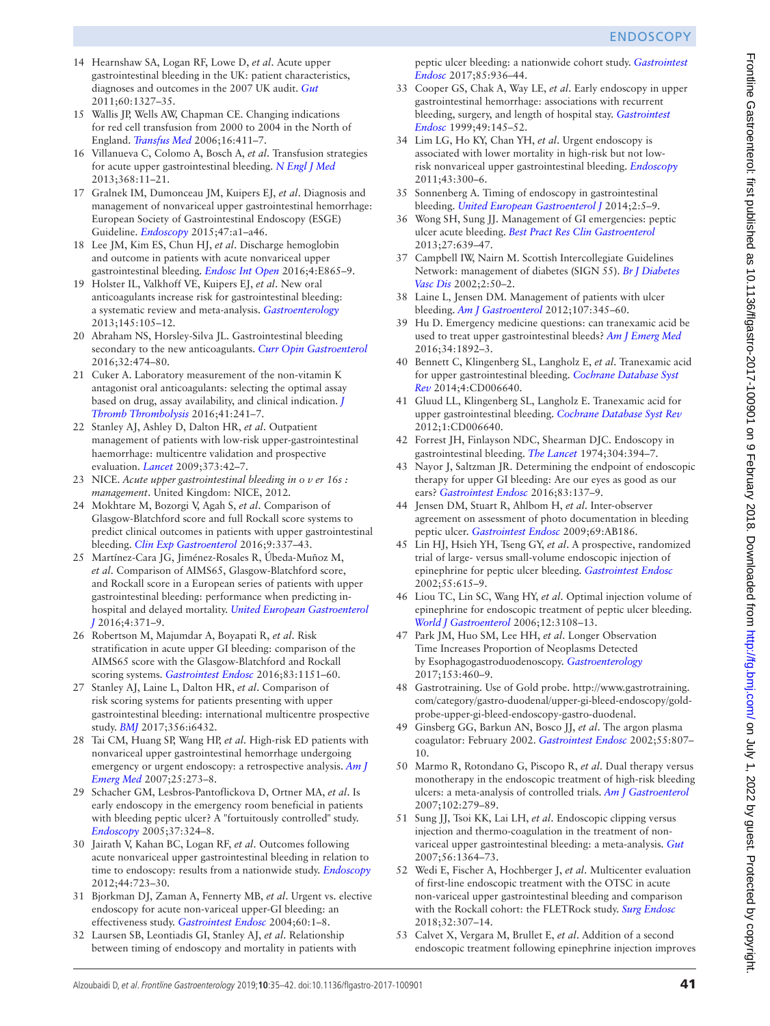Frontline Gastroenterol: first published as 10.11136/flgastro-2017-100901 on 9 February 2018. Downloaded from http://fg.bmj.com/ on July 1, 2022 by guest. Protected by copyright Frontline Gastroenterol: first published as 10.1136/flgastro-2017-100901 on 9 February 2018. Downloaded from http://tg.bmj.com/ on July 1, 2022 by guest. Protected by copyright.

- <span id="page-6-0"></span>14 Hearnshaw SA, Logan RF, Lowe D, *et al*. Acute upper gastrointestinal bleeding in the UK: patient characteristics, diagnoses and outcomes in the 2007 UK audit. *[Gut](http://dx.doi.org/10.1136/gut.2010.228437)* 2011;60:1327–35.
- <span id="page-6-1"></span>15 Wallis JP, Wells AW, Chapman CE. Changing indications for red cell transfusion from 2000 to 2004 in the North of England. *[Transfus Med](http://dx.doi.org/10.1111/j.1365-3148.2006.00702.x)* 2006;16:411–7.
- <span id="page-6-2"></span>16 Villanueva C, Colomo A, Bosch A, *et al*. Transfusion strategies for acute upper gastrointestinal bleeding. *[N Engl J Med](http://dx.doi.org/10.1056/NEJMoa1211801)* 2013;368:11–21.
- <span id="page-6-3"></span>17 Gralnek IM, Dumonceau JM, Kuipers EJ, *et al*. Diagnosis and management of nonvariceal upper gastrointestinal hemorrhage: European Society of Gastrointestinal Endoscopy (ESGE) Guideline. *[Endoscopy](http://dx.doi.org/10.1055/s-0034-1393172)* 2015;47:a1–a46.
- <span id="page-6-4"></span>18 Lee JM, Kim ES, Chun HJ, *et al*. Discharge hemoglobin and outcome in patients with acute nonvariceal upper gastrointestinal bleeding. *[Endosc Int Open](http://dx.doi.org/10.1055/s-0042-110176)* 2016;4:E865–9.
- <span id="page-6-5"></span>19 Holster IL, Valkhoff VE, Kuipers EJ, *et al*. New oral anticoagulants increase risk for gastrointestinal bleeding: a systematic review and meta-analysis. *[Gastroenterology](http://dx.doi.org/10.1053/j.gastro.2013.02.041)* 2013;145:105–12.
- <span id="page-6-7"></span>20 Abraham NS, Horsley-Silva JL. Gastrointestinal bleeding secondary to the new anticoagulants. *[Curr Opin Gastroenterol](http://dx.doi.org/10.1097/MOG.0000000000000310)* 2016;32:474–80.
- <span id="page-6-6"></span>21 Cuker A. Laboratory measurement of the non-vitamin K antagonist oral anticoagulants: selecting the optimal assay based on drug, assay availability, and clinical indication. *[J](http://dx.doi.org/10.1007/s11239-015-1282-7)  [Thromb Thrombolysis](http://dx.doi.org/10.1007/s11239-015-1282-7)* 2016;41:241–7.
- <span id="page-6-8"></span>22 Stanley AJ, Ashley D, Dalton HR, *et al*. Outpatient management of patients with low-risk upper-gastrointestinal haemorrhage: multicentre validation and prospective evaluation. *[Lancet](http://dx.doi.org/10.1016/S0140-6736(08)61769-9)* 2009;373:42–7.
- <span id="page-6-11"></span>23 NICE. *Acute upper gastrointestinal bleeding in o v er 16s : management*. United Kingdom: NICE, 2012.
- <span id="page-6-9"></span>24 Mokhtare M, Bozorgi V, Agah S, *et al*. Comparison of Glasgow-Blatchford score and full Rockall score systems to predict clinical outcomes in patients with upper gastrointestinal bleeding. *[Clin Exp Gastroenterol](http://dx.doi.org/10.2147/CEG.S114860)* 2016;9:337–43.
- <span id="page-6-10"></span>25 Martínez-Cara JG, Jiménez-Rosales R, Úbeda-Muñoz M, *et al*. Comparison of AIMS65, Glasgow-Blatchford score, and Rockall score in a European series of patients with upper gastrointestinal bleeding: performance when predicting inhospital and delayed mortality. *[United European Gastroenterol](http://dx.doi.org/10.1177/2050640615604779)  [J](http://dx.doi.org/10.1177/2050640615604779)* 2016;4:371–9.
- 26 Robertson M, Majumdar A, Boyapati R, *et al*. Risk stratification in acute upper GI bleeding: comparison of the AIMS65 score with the Glasgow-Blatchford and Rockall scoring systems. *[Gastrointest Endosc](http://dx.doi.org/10.1016/j.gie.2015.10.021)* 2016;83:1151–60.
- 27 Stanley AJ, Laine L, Dalton HR, *et al*. Comparison of risk scoring systems for patients presenting with upper gastrointestinal bleeding: international multicentre prospective study. *[BMJ](http://dx.doi.org/10.1136/bmj.i6432)* 2017;356:i6432.
- <span id="page-6-12"></span>28 Tai CM, Huang SP, Wang HP, *et al*. High-risk ED patients with nonvariceal upper gastrointestinal hemorrhage undergoing emergency or urgent endoscopy: a retrospective analysis. *[Am J](http://dx.doi.org/10.1016/j.ajem.2006.07.014)  [Emerg Med](http://dx.doi.org/10.1016/j.ajem.2006.07.014)* 2007;25:273–8.
- 29 Schacher GM, Lesbros-Pantoflickova D, Ortner MA, *et al*. Is early endoscopy in the emergency room beneficial in patients with bleeding peptic ulcer? A "fortuitously controlled" study. *[Endoscopy](http://dx.doi.org/10.1055/s-2004-826237)* 2005;37:324–8.
- 30 Jairath V, Kahan BC, Logan RF, *et al*. Outcomes following acute nonvariceal upper gastrointestinal bleeding in relation to time to endoscopy: results from a nationwide study. *[Endoscopy](http://dx.doi.org/10.1055/s-0032-1309736)* 2012;44:723–30.
- <span id="page-6-13"></span>31 Bjorkman DJ, Zaman A, Fennerty MB, *et al*. Urgent vs. elective endoscopy for acute non-variceal upper-GI bleeding: an effectiveness study. *[Gastrointest Endosc](http://dx.doi.org/10.1016/S0016-5107(04)01287-8)* 2004;60:1–8.
- <span id="page-6-14"></span>32 Laursen SB, Leontiadis GI, Stanley AJ, *et al*. Relationship between timing of endoscopy and mortality in patients with

peptic ulcer bleeding: a nationwide cohort study. *[Gastrointest](http://dx.doi.org/10.1016/j.gie.2016.08.049)  [Endosc](http://dx.doi.org/10.1016/j.gie.2016.08.049)* 2017;85:936–44.

- 33 Cooper GS, Chak A, Way LE, *et al*. Early endoscopy in upper gastrointestinal hemorrhage: associations with recurrent bleeding, surgery, and length of hospital stay. *[Gastrointest](http://dx.doi.org/10.1016/S0016-5107(99)70478-5)  [Endosc](http://dx.doi.org/10.1016/S0016-5107(99)70478-5)* 1999;49:145–52.
- 34 Lim LG, Ho KY, Chan YH, *et al*. Urgent endoscopy is associated with lower mortality in high-risk but not lowrisk nonvariceal upper gastrointestinal bleeding. *[Endoscopy](http://dx.doi.org/10.1055/s-0030-1256110)* 2011;43:300–6.
- 35 Sonnenberg A. Timing of endoscopy in gastrointestinal bleeding. *[United European Gastroenterol J](http://dx.doi.org/10.1177/2050640613518773)* 2014;2:5–9.
- <span id="page-6-15"></span>36 Wong SH, Sung JJ. Management of GI emergencies: peptic ulcer acute bleeding. *[Best Pract Res Clin Gastroenterol](http://dx.doi.org/10.1016/j.bpg.2013.08.003)* 2013;27:639–47.
- 37 Campbell IW, Nairn M. Scottish Intercollegiate Guidelines Network: management of diabetes (SIGN 55). *[Br J Diabetes](http://dx.doi.org/10.1177/14746514020020010501)  [Vasc Dis](http://dx.doi.org/10.1177/14746514020020010501)* 2002;2:50–2.
- <span id="page-6-16"></span>38 Laine L, Jensen DM. Management of patients with ulcer bleeding. *[Am J Gastroenterol](http://dx.doi.org/10.1038/ajg.2011.480)* 2012;107:345–60.
- <span id="page-6-17"></span>39 Hu D. Emergency medicine questions: can tranexamic acid be used to treat upper gastrointestinal bleeds? *[Am J Emerg Med](http://dx.doi.org/10.1016/j.ajem.2016.06.080)* 2016;34:1892–3.
- <span id="page-6-18"></span>40 Bennett C, Klingenberg SL, Langholz E, *et al*. Tranexamic acid for upper gastrointestinal bleeding. *[Cochrane Database Syst](http://dx.doi.org/10.1002/14651858.CD006640.pub3)  [Rev](http://dx.doi.org/10.1002/14651858.CD006640.pub3)* 2014;4:CD006640.
- 41 Gluud LL, Klingenberg SL, Langholz E. Tranexamic acid for upper gastrointestinal bleeding. *[Cochrane Database Syst Rev](http://dx.doi.org/10.1002/14651858.CD006640.pub2)* 2012;1:CD006640.
- <span id="page-6-19"></span>42 Forrest JH, Finlayson NDC, Shearman DJC. Endoscopy in gastrointestinal bleeding. *[The Lancet](http://dx.doi.org/10.1016/S0140-6736(74)91770-X)* 1974;304:394–7.
- <span id="page-6-20"></span>43 Nayor J, Saltzman JR. Determining the endpoint of endoscopic therapy for upper GI bleeding: Are our eyes as good as our ears? *[Gastrointest Endosc](http://dx.doi.org/10.1016/j.gie.2015.08.056)* 2016;83:137–9.
- <span id="page-6-21"></span>44 Jensen DM, Stuart R, Ahlbom H, *et al*. Inter-observer agreement on assessment of photo documentation in bleeding peptic ulcer. *[Gastrointest Endosc](http://dx.doi.org/10.1016/j.gie.2009.03.384)* 2009;69:AB186.
- <span id="page-6-22"></span>45 Lin HJ, Hsieh YH, Tseng GY, *et al*. A prospective, randomized trial of large- versus small-volume endoscopic injection of epinephrine for peptic ulcer bleeding. *[Gastrointest Endosc](http://dx.doi.org/10.1067/mge.2002.123271)* 2002;55:615–9.
- 46 Liou TC, Lin SC, Wang HY, *et al*. Optimal injection volume of epinephrine for endoscopic treatment of peptic ulcer bleeding. *[World J Gastroenterol](http://dx.doi.org/10.3748/wjg.v12.i19.3108)* 2006;12:3108–13.
- 47 Park JM, Huo SM, Lee HH, *et al*. Longer Observation Time Increases Proportion of Neoplasms Detected by Esophagogastroduodenoscopy. *[Gastroenterology](http://dx.doi.org/10.1053/j.gastro.2017.05.009)* 2017;153:460–9.
- <span id="page-6-23"></span>48 Gastrotraining. Use of Gold probe. [http://www.gastrotraining.](http://www.gastrotraining.com/category/gastro-duodenal/upper-gi-bleed-endoscopy/gold-probe-upper-gi-bleed-endoscopy-gastro-duodenal) [com/category/gastro-duodenal/upper-gi-bleed-endoscopy/gold](http://www.gastrotraining.com/category/gastro-duodenal/upper-gi-bleed-endoscopy/gold-probe-upper-gi-bleed-endoscopy-gastro-duodenal)[probe-upper-gi-bleed-endoscopy-gastro-duodenal](http://www.gastrotraining.com/category/gastro-duodenal/upper-gi-bleed-endoscopy/gold-probe-upper-gi-bleed-endoscopy-gastro-duodenal).
- <span id="page-6-24"></span>49 Ginsberg GG, Barkun AN, Bosco JJ, *et al*. The argon plasma coagulator: February 2002. *[Gastrointest Endosc](http://dx.doi.org/10.1016/S0016-5107(02)70408-2)* 2002;55:807– 10.
- <span id="page-6-25"></span>50 Marmo R, Rotondano G, Piscopo R, *et al*. Dual therapy versus monotherapy in the endoscopic treatment of high-risk bleeding ulcers: a meta-analysis of controlled trials. *[Am J Gastroenterol](http://dx.doi.org/10.1111/j.1572-0241.2006.01023.x)* 2007;102:279–89.
- <span id="page-6-26"></span>51 Sung JJ, Tsoi KK, Lai LH, *et al*. Endoscopic clipping versus injection and thermo-coagulation in the treatment of nonvariceal upper gastrointestinal bleeding: a meta-analysis. *[Gut](http://dx.doi.org/10.1136/gut.2007.123976)* 2007;56:1364–73.
- <span id="page-6-27"></span>52 Wedi E, Fischer A, Hochberger J, *et al*. Multicenter evaluation of first-line endoscopic treatment with the OTSC in acute non-variceal upper gastrointestinal bleeding and comparison with the Rockall cohort: the FLETRock study. *[Surg Endosc](http://dx.doi.org/10.1007/s00464-017-5678-7)* 2018;32:307–14.
- <span id="page-6-28"></span>53 Calvet X, Vergara M, Brullet E, *et al*. Addition of a second endoscopic treatment following epinephrine injection improves